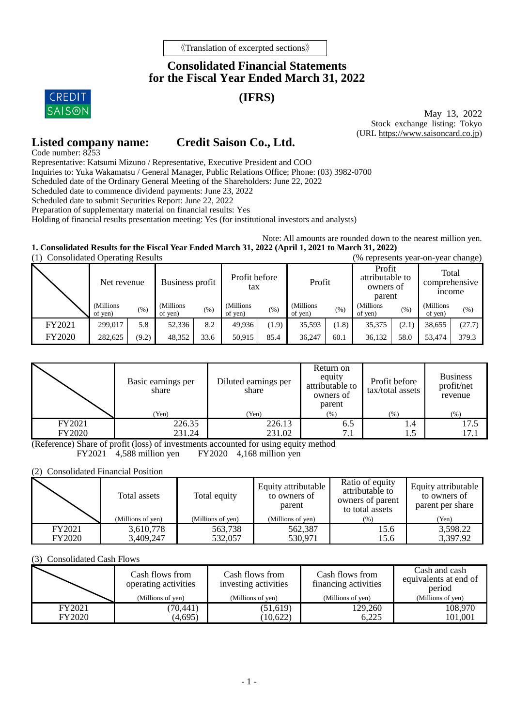# **Consolidated Financial Statements for the Fiscal Year Ended March 31, 2022**

# **(IFRS)**

**CREDIT SAISON** 

May 13, 2022 Stock exchange listing: Tokyo (URL [https://www.saisoncard.co.jp\)](http://www.saisoncard.co.jp/)

## **Listed company name: Credit Saison Co., Ltd.**

Code number: 8253 Representative: Katsumi Mizuno / Representative, Executive President and COO

Inquiries to: Yuka Wakamatsu / General Manager, Public Relations Office; Phone: (03) 3982-0700

Scheduled date of the Ordinary General Meeting of the Shareholders: June 22, 2022

Scheduled date to commence dividend payments: June 23, 2022

Scheduled date to submit Securities Report: June 22, 2022

Preparation of supplementary material on financial results: Yes

Holding of financial results presentation meeting: Yes (for institutional investors and analysts)

Note: All amounts are rounded down to the nearest million yen.

**1. Consolidated Results for the Fiscal Year Ended March 31, 2022 (April 1, 2021 to March 31, 2022)**

|               | <b>Consolidated Operating Results</b><br>(% represents year-on-year change) |       |                      |      |                      |         |                       |       |                                                  |        |                                         |        |
|---------------|-----------------------------------------------------------------------------|-------|----------------------|------|----------------------|---------|-----------------------|-------|--------------------------------------------------|--------|-----------------------------------------|--------|
|               | Net revenue                                                                 |       | Business profit      |      | Profit before<br>tax |         | Profit                |       | Profit<br>attributable to<br>owners of<br>parent |        | Total<br>comprehensive<br><i>n</i> come |        |
|               | (Millions<br>of yen)                                                        | (%)   | (Millions<br>of yen) | (% ) | (Millions<br>of yen) | $(\% )$ | (Millions)<br>of yen) | (% )  | (Millions)<br>of yen)                            | $(\%)$ | (Millions<br>of yen)                    | (%)    |
| FY2021        | 299,017                                                                     | 5.8   | 52,336               | 8.2  | 49.936               | (1.9)   | 35,593                | (1.8) | 35,375                                           | (2.1)  | 38.655                                  | (27.7) |
| <b>FY2020</b> | 282.625                                                                     | (9.2) | 48,352               | 33.6 | 50,915               | 85.4    | 36,247                | 60.1  | 36,132                                           | 58.0   | 53,474                                  | 379.3  |

|               | Basic earnings per<br>share | Diluted earnings per<br>share | Return on<br>equity<br>attributable to<br>owners of<br>parent | Profit before<br>tax/total assets | <b>Business</b><br>profit/net<br>revenue |
|---------------|-----------------------------|-------------------------------|---------------------------------------------------------------|-----------------------------------|------------------------------------------|
|               | (Yen)                       | (Yen)                         | $(\%)$                                                        | (%)                               | (% )                                     |
| FY2021        | 226.35                      | 226.13                        | 6.5                                                           | 1.4                               | 17.5                                     |
| <b>FY2020</b> | 231.24                      | 231.02                        | 7.1                                                           | 1.5                               | 17.1                                     |

(Reference) Share of profit (loss) of investments accounted for using equity method FY2021 4,588 million yen FY2020 4,168 million yen

 $FY2021$  4,588 million yen

(2) Consolidated Financial Position

|               | Total assets<br>(Millions of yen) | Total equity<br>(Millions of yen) | Equity attributable<br>to owners of<br>parent<br>(Millions of yen) | Ratio of equity<br>attributable to<br>owners of parent<br>to total assets<br>$(\% )$ | Equity attributable<br>to owners of<br>parent per share<br>(Yen) |
|---------------|-----------------------------------|-----------------------------------|--------------------------------------------------------------------|--------------------------------------------------------------------------------------|------------------------------------------------------------------|
| FY2021        | 3,610,778                         | 563,738                           | 562,387                                                            | 15.6                                                                                 | 3,598.22                                                         |
| <b>FY2020</b> | 3,409,247                         | 532.057                           | 530.971                                                            | 15.6                                                                                 | 3,397.92                                                         |

(3) Consolidated Cash Flows

|        | Cash flows from<br>operating activities | Cash flows from<br>investing activities | Cash flows from<br>financing activities | Cash and cash<br>equivalents at end of<br>period |  |
|--------|-----------------------------------------|-----------------------------------------|-----------------------------------------|--------------------------------------------------|--|
|        | (Millions of yen)                       | (Millions of yen)                       | (Millions of yen)                       | (Millions of yen)                                |  |
| FY2021 | (70, 441)                               | (51,619)                                | 129,260                                 | 108,970                                          |  |
| FY2020 | (4,695)                                 | (10.622)                                | 6.225                                   | 101,001                                          |  |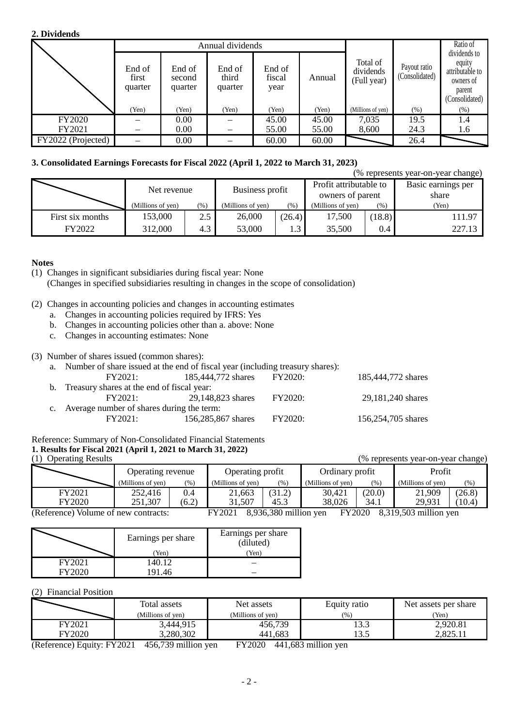#### **2. Dividends**

|                    |                            |                             | Annual dividends           |                          |        |                                      | Ratio of                       |                                                                                    |
|--------------------|----------------------------|-----------------------------|----------------------------|--------------------------|--------|--------------------------------------|--------------------------------|------------------------------------------------------------------------------------|
|                    | End of<br>first<br>quarter | End of<br>second<br>quarter | End of<br>third<br>quarter | End of<br>fiscal<br>year | Annual | Total of<br>dividends<br>(Full year) | Payout ratio<br>(Consolidated) | dividends to<br>equity<br>attributable to<br>owners of<br>parent<br>(Consolidated) |
|                    | (Yen)                      | (Yen)                       | (Yen)                      | (Yen)                    | (Yen)  | (Millions of yen)                    | (% )                           | (%)                                                                                |
| FY2020             |                            | 0.00                        |                            | 45.00                    | 45.00  | 7,035                                | 19.5                           | 1.4                                                                                |
| FY2021             |                            | 0.00                        |                            | 55.00                    | 55.00  | 8,600                                | 24.3                           | 1.6                                                                                |
| FY2022 (Projected) |                            | 0.00                        |                            | 60.00                    | 60.00  |                                      | 26.4                           |                                                                                    |

### **3. Consolidated Earnings Forecasts for Fiscal 2022 (April 1, 2022 to March 31, 2023)**

|                  | (% represents year-on-year change) |     |                              |        |                                            |        |                             |  |  |  |
|------------------|------------------------------------|-----|------------------------------|--------|--------------------------------------------|--------|-----------------------------|--|--|--|
|                  | Net revenue                        |     | Business profit              |        | Profit attributable to<br>owners of parent |        | Basic earnings per<br>share |  |  |  |
|                  | (Millions of yen)<br>(% )          |     | (Millions of yen)<br>$(\% )$ |        | (Millions of yen)                          | $(\%)$ | (Yen)                       |  |  |  |
| First six months | 153,000                            | 2.5 | 26,000                       | (26.4) | 17,500                                     | 18.8   | 111.97                      |  |  |  |
| FY2022           | 312,000                            | 4.3 | 53,000                       | 1.3    | 35,500                                     | 0.4    | 227.13                      |  |  |  |

#### **Notes**

- (1) Changes in significant subsidiaries during fiscal year: None
- (Changes in specified subsidiaries resulting in changes in the scope of consolidation)
- (2) Changes in accounting policies and changes in accounting estimates
	- a. Changes in accounting policies required by IFRS: Yes
	- b. Changes in accounting policies other than a. above: None
	- c. Changes in accounting estimates: None

#### (3) Number of shares issued (common shares):

| a. Number of share issued at the end of fiscal year (including treasury shares): |                    |                |                    |  |  |  |  |
|----------------------------------------------------------------------------------|--------------------|----------------|--------------------|--|--|--|--|
| FY2021:                                                                          | 185,444,772 shares | FY2020:        | 185,444,772 shares |  |  |  |  |
| b. Treasury shares at the end of fiscal year:                                    |                    |                |                    |  |  |  |  |
| FY2021:                                                                          | 29.148.823 shares  | FY2020:        | 29,181,240 shares  |  |  |  |  |
| c. Average number of shares during the term:                                     |                    |                |                    |  |  |  |  |
| FY2021:                                                                          | 156,285,867 shares | <b>FY2020:</b> | 156,254,705 shares |  |  |  |  |
|                                                                                  |                    |                |                    |  |  |  |  |

### Reference: Summary of Non-Consolidated Financial Statements

#### **1. Results for Fiscal 2021 (April 1, 2021 to March 31, 2022)**  $\frac{1}{2}$  operating Results (% represents year-on-year change)

|  | (1) Operating Result |  |
|--|----------------------|--|
|  |                      |  |

|        | Operating revenue |       | Operating profit                                                                         |        | Ordinary profit   |        | Profit            |         |
|--------|-------------------|-------|------------------------------------------------------------------------------------------|--------|-------------------|--------|-------------------|---------|
|        | (Millions of yen) | (%)   | (Millions of yen)                                                                        | (96)   | (Millions of ven) | (96)   | (Millions of yen) | $(\% )$ |
| FY2021 | 252.416           | 0.4   | 21,663                                                                                   | (31.2) | 30,421            | (20.0) | 21,909            | (26.8)  |
| FY2020 | 251,307           | (6.2) | 31.507                                                                                   | 45.3   | 38.026            | 34.1   | 29.931            | (10.4)  |
|        |                   |       | $0.026.200$ million right<br>$0.210.502$ million year.<br><b>EVADAO</b><br><b>EV2001</b> |        |                   |        |                   |         |

(Reference) Volume of new contracts: FY2021 8,936,380 million yen FY2020 8,319,503 million yen

|        | Earnings per share<br>'Yen) | Earnings per share<br>(diluted)<br>(Yen) |
|--------|-----------------------------|------------------------------------------|
| FY2021 | 140.12                      |                                          |
|        | 91.46                       |                                          |

#### (2) Financial Position

|                                 | Total assets             | Net assets        | Equity ratio | Net assets per share |  |
|---------------------------------|--------------------------|-------------------|--------------|----------------------|--|
|                                 | (Millions of yen)        | (Millions of ven) | (96)         | Yen)                 |  |
| FY2021                          | 3,444,915                | 456,739           | 13.3         | 2,920.81             |  |
| FY2020                          | 3,280,302                | 441.683           | 13.5         | 92511<br>2.029.11    |  |
| $-$<br>$\overline{\phantom{a}}$ | ______<br>.<br>_ _ _ _ _ | ______<br>.       | ----         |                      |  |

(Reference) Equity: FY2021 456,739 million yen FY2020 441,683 million yen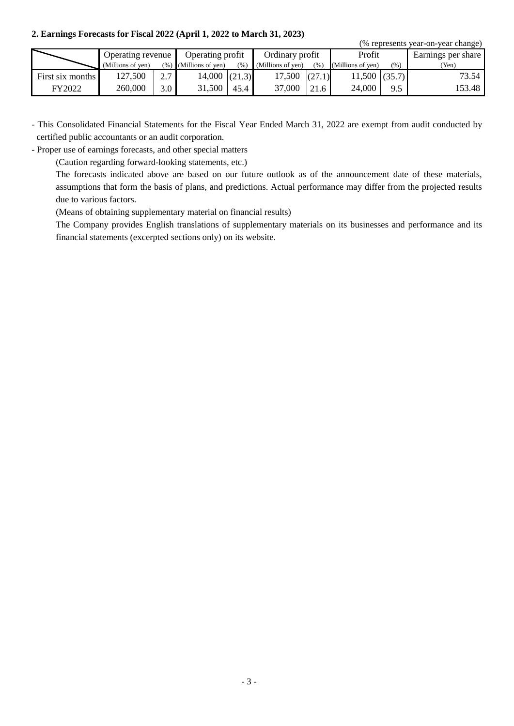#### **2. Earnings Forecasts for Fiscal 2022 (April 1, 2022 to March 31, 2023)**

|                  |                   |     |                          |      |                   |        |                   |      | (% represents year-on-year change) |  |
|------------------|-------------------|-----|--------------------------|------|-------------------|--------|-------------------|------|------------------------------------|--|
|                  | Operating revenue |     | Operating profit         |      | Ordinary profit   |        | Profit            |      | Earnings per share                 |  |
|                  | (Millions of yen) |     | $(\%)$ (Millions of ven) | (%)  | (Millions of yen) | (% )   | (Millions of yen) | (% ) | (Yen)                              |  |
| First six months | 127,500           | 2.7 | $14,000$ $(21.3)$        |      | 17,500            | (27.1) | $11,500$ (35.7)   |      | 73.54 l                            |  |
| FY2022           | 260,000           | 3.0 | 31,500                   | 45.4 | 37,000            | 21.6   | 24,000            | 9.5  | 153.48                             |  |

- This Consolidated Financial Statements for the Fiscal Year Ended March 31, 2022 are exempt from audit conducted by certified public accountants or an audit corporation.

- Proper use of earnings forecasts, and other special matters

(Caution regarding forward-looking statements, etc.)

The forecasts indicated above are based on our future outlook as of the announcement date of these materials, assumptions that form the basis of plans, and predictions. Actual performance may differ from the projected results due to various factors.

(Means of obtaining supplementary material on financial results)

The Company provides English translations of supplementary materials on its businesses and performance and its financial statements (excerpted sections only) on its website.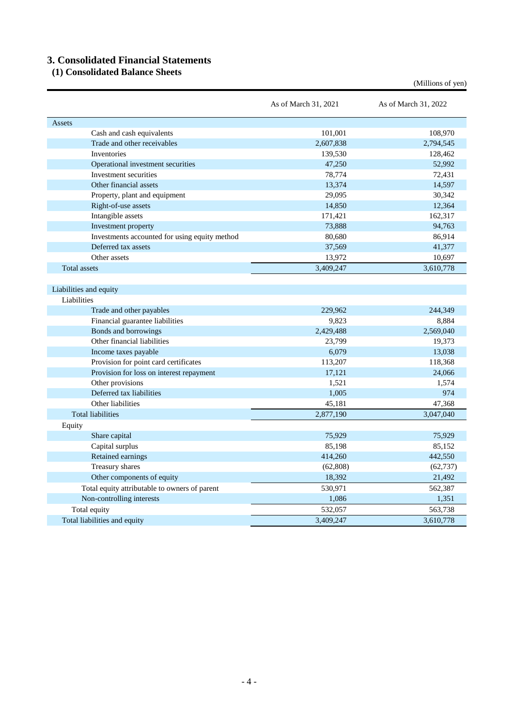# **3. Consolidated Financial Statements**

**(1) Consolidated Balance Sheets**

|                                               | As of March 31, 2021 | As of March 31, 2022 |
|-----------------------------------------------|----------------------|----------------------|
| Assets                                        |                      |                      |
| Cash and cash equivalents                     | 101,001              | 108,970              |
| Trade and other receivables                   | 2,607,838            | 2,794,545            |
| <b>Inventories</b>                            | 139,530              | 128,462              |
| Operational investment securities             | 47,250               | 52,992               |
| Investment securities                         | 78,774               | 72,431               |
| Other financial assets                        | 13,374               | 14,597               |
| Property, plant and equipment                 | 29,095               | 30,342               |
| Right-of-use assets                           | 14,850               | 12,364               |
| Intangible assets                             | 171,421              | 162,317              |
| Investment property                           | 73,888               | 94,763               |
| Investments accounted for using equity method | 80,680               | 86,914               |
| Deferred tax assets                           | 37,569               | 41,377               |
| Other assets                                  | 13,972               | 10,697               |
| <b>Total assets</b>                           | 3,409,247            | 3,610,778            |
| Liabilities and equity                        |                      |                      |
| Liabilities                                   |                      |                      |
| Trade and other payables                      | 229,962              | 244,349              |
| Financial guarantee liabilities               | 9,823                | 8,884                |
| Bonds and borrowings                          | 2,429,488            | 2,569,040            |
| Other financial liabilities                   | 23,799               | 19,373               |
| Income taxes payable                          | 6,079                | 13,038               |
| Provision for point card certificates         | 113,207              | 118,368              |
| Provision for loss on interest repayment      | 17,121               | 24,066               |
| Other provisions                              | 1,521                | 1,574                |
| Deferred tax liabilities                      | 1,005                | 974                  |
| Other liabilities                             | 45,181               | 47,368               |
| <b>Total liabilities</b>                      | 2,877,190            | 3,047,040            |
| Equity                                        |                      |                      |
| Share capital                                 | 75,929               | 75,929               |
| Capital surplus                               | 85,198               | 85,152               |
| Retained earnings                             | 414,260              | 442,550              |
| Treasury shares                               | (62, 808)            | (62, 737)            |
| Other components of equity                    | 18,392               | 21,492               |
| Total equity attributable to owners of parent | 530,971              | 562,387              |
| Non-controlling interests                     | 1,086                | 1,351                |
| Total equity                                  | 532,057              | 563,738              |
| Total liabilities and equity                  | 3,409,247            | 3,610,778            |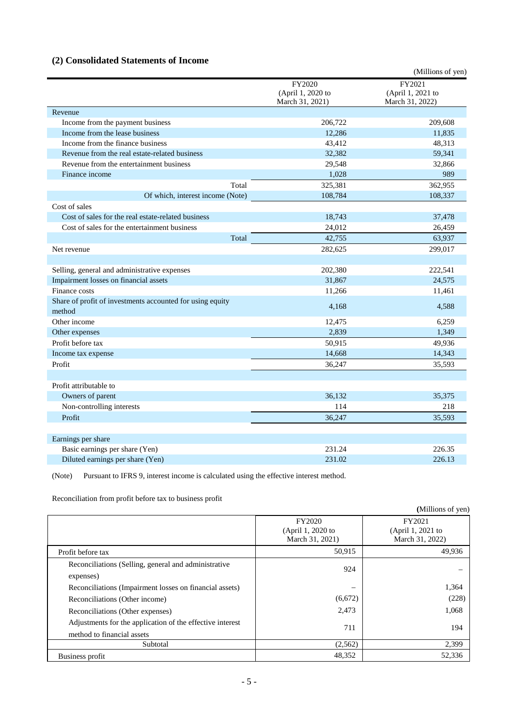## **(2) Consolidated Statements of Income**

|                                                           |                   | (Millions of yen) |
|-----------------------------------------------------------|-------------------|-------------------|
|                                                           | FY2020            | FY2021            |
|                                                           | (April 1, 2020 to | (April 1, 2021 to |
|                                                           | March 31, 2021)   | March 31, 2022)   |
| Revenue                                                   |                   |                   |
| Income from the payment business                          | 206,722           | 209,608           |
| Income from the lease business                            | 12,286            | 11,835            |
| Income from the finance business                          | 43,412            | 48,313            |
| Revenue from the real estate-related business             | 32,382            | 59,341            |
| Revenue from the entertainment business                   | 29,548            | 32,866            |
| Finance income                                            | 1,028             | 989               |
| Total                                                     | 325,381           | 362,955           |
| Of which, interest income (Note)                          | 108,784           | 108,337           |
| Cost of sales                                             |                   |                   |
| Cost of sales for the real estate-related business        | 18,743            | 37,478            |
| Cost of sales for the entertainment business              | 24,012            | 26,459            |
| Total                                                     | 42,755            | 63,937            |
| Net revenue                                               | 282,625           | 299,017           |
|                                                           |                   |                   |
| Selling, general and administrative expenses              | 202,380           | 222,541           |
| Impairment losses on financial assets                     | 31,867            | 24,575            |
| Finance costs                                             | 11,266            | 11,461            |
| Share of profit of investments accounted for using equity |                   |                   |
| method                                                    | 4,168             | 4,588             |
| Other income                                              | 12,475            | 6,259             |
| Other expenses                                            | 2,839             | 1,349             |
| Profit before tax                                         | 50,915            | 49,936            |
| Income tax expense                                        | 14,668            | 14,343            |
| Profit                                                    | 36,247            | 35,593            |
|                                                           |                   |                   |
| Profit attributable to                                    |                   |                   |
| Owners of parent                                          | 36,132            | 35,375            |
| Non-controlling interests                                 | 114               | 218               |
| Profit                                                    | 36,247            | 35,593            |
|                                                           |                   |                   |
| Earnings per share                                        |                   |                   |
| Basic earnings per share (Yen)                            | 231.24            | 226.35            |
| Diluted earnings per share (Yen)                          | 231.02            | 226.13            |

(Note) Pursuant to IFRS 9, interest income is calculated using the effective interest method.

Reconciliation from profit before tax to business profit

|                                                                                         |                                                | (Millions of yen)                              |
|-----------------------------------------------------------------------------------------|------------------------------------------------|------------------------------------------------|
|                                                                                         | FY2020<br>(April 1, 2020 to<br>March 31, 2021) | FY2021<br>(April 1, 2021 to<br>March 31, 2022) |
| Profit before tax                                                                       | 50,915                                         | 49,936                                         |
| Reconciliations (Selling, general and administrative<br>expenses)                       | 924                                            |                                                |
| Reconciliations (Impairment losses on financial assets)                                 | $\hspace{1.0cm} \rule{1.5cm}{0.15cm}$          | 1,364                                          |
| Reconciliations (Other income)                                                          | (6,672)                                        | (228)                                          |
| Reconciliations (Other expenses)                                                        | 2,473                                          | 1,068                                          |
| Adjustments for the application of the effective interest<br>method to financial assets | 711                                            | 194                                            |
| Subtotal                                                                                | (2,562)                                        | 2,399                                          |
| Business profit                                                                         | 48,352                                         | 52,336                                         |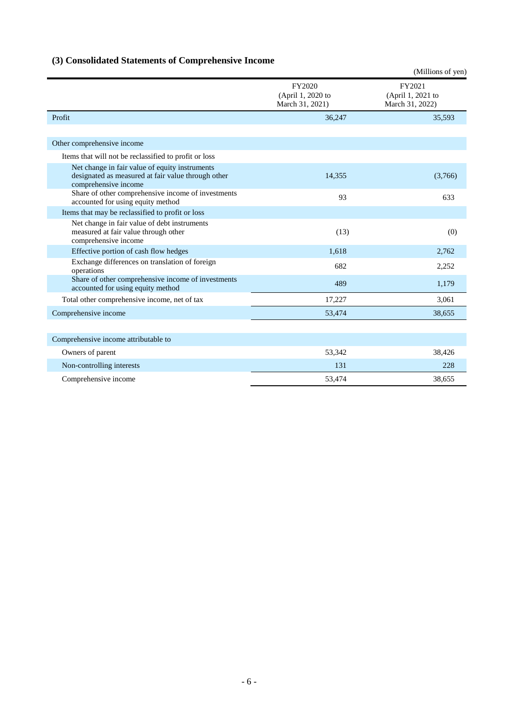# **(3) Consolidated Statements of Comprehensive Income**

|                                                                                                                              |                                                | (Millions of yen)                              |
|------------------------------------------------------------------------------------------------------------------------------|------------------------------------------------|------------------------------------------------|
|                                                                                                                              | FY2020<br>(April 1, 2020 to<br>March 31, 2021) | FY2021<br>(April 1, 2021 to<br>March 31, 2022) |
| Profit                                                                                                                       | 36,247                                         | 35,593                                         |
|                                                                                                                              |                                                |                                                |
| Other comprehensive income                                                                                                   |                                                |                                                |
| Items that will not be reclassified to profit or loss                                                                        |                                                |                                                |
| Net change in fair value of equity instruments<br>designated as measured at fair value through other<br>comprehensive income | 14,355                                         | (3,766)                                        |
| Share of other comprehensive income of investments<br>accounted for using equity method                                      | 93                                             | 633                                            |
| Items that may be reclassified to profit or loss                                                                             |                                                |                                                |
| Net change in fair value of debt instruments<br>measured at fair value through other<br>comprehensive income                 | (13)                                           | (0)                                            |
| Effective portion of cash flow hedges                                                                                        | 1,618                                          | 2,762                                          |
| Exchange differences on translation of foreign<br>operations                                                                 | 682                                            | 2,252                                          |
| Share of other comprehensive income of investments<br>accounted for using equity method                                      | 489                                            | 1,179                                          |
| Total other comprehensive income, net of tax                                                                                 | 17,227                                         | 3,061                                          |
| Comprehensive income                                                                                                         | 53,474                                         | 38,655                                         |
|                                                                                                                              |                                                |                                                |
| Comprehensive income attributable to                                                                                         |                                                |                                                |
| Owners of parent                                                                                                             | 53,342                                         | 38,426                                         |
| Non-controlling interests                                                                                                    | 131                                            | 228                                            |
| Comprehensive income                                                                                                         | 53,474                                         | 38,655                                         |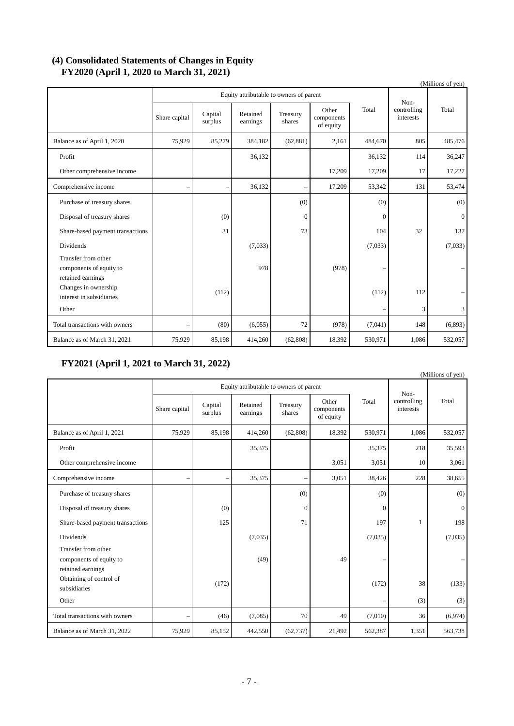### **(4) Consolidated Statements of Changes in Equity FY2020 (April 1, 2020 to March 31, 2021)**

|                                                                     |               |                                         |                      |                    |                                  |              |                          | (Millions of yen) |
|---------------------------------------------------------------------|---------------|-----------------------------------------|----------------------|--------------------|----------------------------------|--------------|--------------------------|-------------------|
|                                                                     |               | Equity attributable to owners of parent |                      |                    |                                  |              | Non-                     |                   |
|                                                                     | Share capital | Capital<br>surplus                      | Retained<br>earnings | Treasury<br>shares | Other<br>components<br>of equity | Total        | controlling<br>interests | Total             |
| Balance as of April 1, 2020                                         | 75.929        | 85,279                                  | 384,182              | (62, 881)          | 2,161                            | 484,670      | 805                      | 485,476           |
| Profit                                                              |               |                                         | 36,132               |                    |                                  | 36,132       | 114                      | 36,247            |
| Other comprehensive income                                          |               |                                         |                      |                    | 17,209                           | 17,209       | 17                       | 17,227            |
| Comprehensive income                                                |               |                                         | 36,132               | $\qquad \qquad$    | 17,209                           | 53,342       | 131                      | 53,474            |
| Purchase of treasury shares                                         |               |                                         |                      | (0)                |                                  | (0)          |                          | (0)               |
| Disposal of treasury shares                                         |               | (0)                                     |                      | $\overline{0}$     |                                  | $\mathbf{0}$ |                          | $\overline{0}$    |
| Share-based payment transactions                                    |               | 31                                      |                      | 73                 |                                  | 104          | 32                       | 137               |
| Dividends                                                           |               |                                         | (7,033)              |                    |                                  | (7,033)      |                          | (7,033)           |
| Transfer from other<br>components of equity to<br>retained earnings |               |                                         | 978                  |                    | (978)                            |              |                          |                   |
| Changes in ownership<br>interest in subsidiaries                    |               | (112)                                   |                      |                    |                                  | (112)        | 112                      |                   |
| Other                                                               |               |                                         |                      |                    |                                  |              | 3                        | 3                 |
| Total transactions with owners                                      |               | (80)                                    | (6,055)              | 72                 | (978)                            | (7,041)      | 148                      | (6,893)           |
| Balance as of March 31, 2021                                        | 75,929        | 85,198                                  | 414,260              | (62, 808)          | 18,392                           | 530,971      | 1,086                    | 532,057           |

## **FY2021 (April 1, 2021 to March 31, 2022)**

|                                                                     |               |                                         |                      |                          |                                  |          |                                  | (Millions of yen) |
|---------------------------------------------------------------------|---------------|-----------------------------------------|----------------------|--------------------------|----------------------------------|----------|----------------------------------|-------------------|
|                                                                     |               | Equity attributable to owners of parent |                      |                          |                                  |          |                                  |                   |
|                                                                     | Share capital | Capital<br>surplus                      | Retained<br>earnings | Treasury<br>shares       | Other<br>components<br>of equity | Total    | Non-<br>controlling<br>interests | Total             |
| Balance as of April 1, 2021                                         | 75,929        | 85,198                                  | 414,260              | (62, 808)                | 18,392                           | 530,971  | 1,086                            | 532,057           |
| Profit                                                              |               |                                         | 35,375               |                          |                                  | 35,375   | 218                              | 35,593            |
| Other comprehensive income                                          |               |                                         |                      |                          | 3.051                            | 3,051    | 10                               | 3,061             |
| Comprehensive income                                                | -             | $\overline{\phantom{0}}$                | 35,375               | $\overline{\phantom{0}}$ | 3,051                            | 38,426   | 228                              | 38,655            |
| Purchase of treasury shares                                         |               |                                         |                      | (0)                      |                                  | (0)      |                                  | (0)               |
| Disposal of treasury shares                                         |               | (0)                                     |                      | $\mathbf{0}$             |                                  | $\Omega$ |                                  | $\mathbf{0}$      |
| Share-based payment transactions                                    |               | 125                                     |                      | 71                       |                                  | 197      | 1                                | 198               |
| Dividends                                                           |               |                                         | (7,035)              |                          |                                  | (7,035)  |                                  | (7,035)           |
| Transfer from other<br>components of equity to<br>retained earnings |               |                                         | (49)                 |                          | 49                               |          |                                  |                   |
| Obtaining of control of<br>subsidiaries                             |               | (172)                                   |                      |                          |                                  | (172)    | 38                               | (133)             |
| Other                                                               |               |                                         |                      |                          |                                  |          | (3)                              | (3)               |
| Total transactions with owners                                      |               | (46)                                    | (7,085)              | 70                       | 49                               | (7,010)  | 36                               | (6,974)           |
| Balance as of March 31, 2022                                        | 75,929        | 85,152                                  | 442,550              | (62, 737)                | 21,492                           | 562,387  | 1,351                            | 563,738           |

- 7 -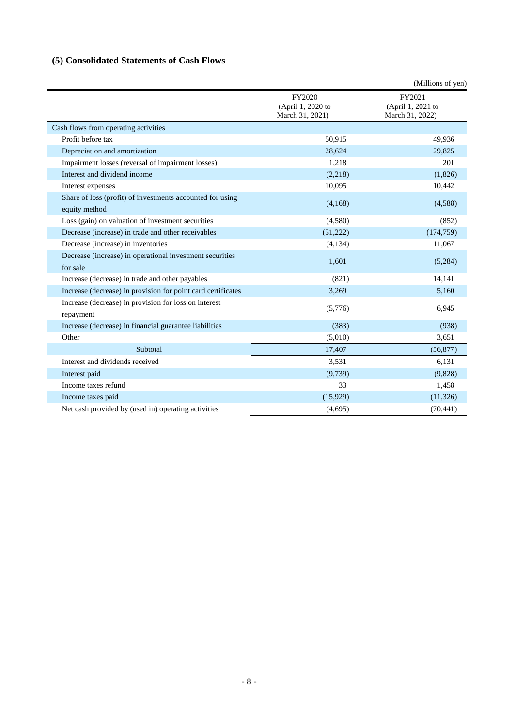# **(5) Consolidated Statements of Cash Flows**

|                                                                            |                                                | (Millions of yen)                              |
|----------------------------------------------------------------------------|------------------------------------------------|------------------------------------------------|
|                                                                            | FY2020<br>(April 1, 2020 to<br>March 31, 2021) | FY2021<br>(April 1, 2021 to<br>March 31, 2022) |
| Cash flows from operating activities                                       |                                                |                                                |
| Profit before tax                                                          | 50,915                                         | 49,936                                         |
| Depreciation and amortization                                              | 28,624                                         | 29,825                                         |
| Impairment losses (reversal of impairment losses)                          | 1,218                                          | 201                                            |
| Interest and dividend income                                               | (2,218)                                        | (1,826)                                        |
| Interest expenses                                                          | 10,095                                         | 10,442                                         |
| Share of loss (profit) of investments accounted for using<br>equity method | (4,168)                                        | (4,588)                                        |
| Loss (gain) on valuation of investment securities                          | (4,580)                                        | (852)                                          |
| Decrease (increase) in trade and other receivables                         | (51,222)                                       | (174, 759)                                     |
| Decrease (increase) in inventories                                         | (4,134)                                        | 11,067                                         |
| Decrease (increase) in operational investment securities<br>for sale       | 1,601                                          | (5,284)                                        |
| Increase (decrease) in trade and other payables                            | (821)                                          | 14,141                                         |
| Increase (decrease) in provision for point card certificates               | 3,269                                          | 5,160                                          |
| Increase (decrease) in provision for loss on interest<br>repayment         | (5,776)                                        | 6,945                                          |
| Increase (decrease) in financial guarantee liabilities                     | (383)                                          | (938)                                          |
| Other                                                                      | (5,010)                                        | 3,651                                          |
| Subtotal                                                                   | 17,407                                         | (56, 877)                                      |
| Interest and dividends received                                            | 3,531                                          | 6,131                                          |
| Interest paid                                                              | (9,739)                                        | (9,828)                                        |
| Income taxes refund                                                        | 33                                             | 1,458                                          |
| Income taxes paid                                                          | (15,929)                                       | (11, 326)                                      |
| Net cash provided by (used in) operating activities                        | (4,695)                                        | (70, 441)                                      |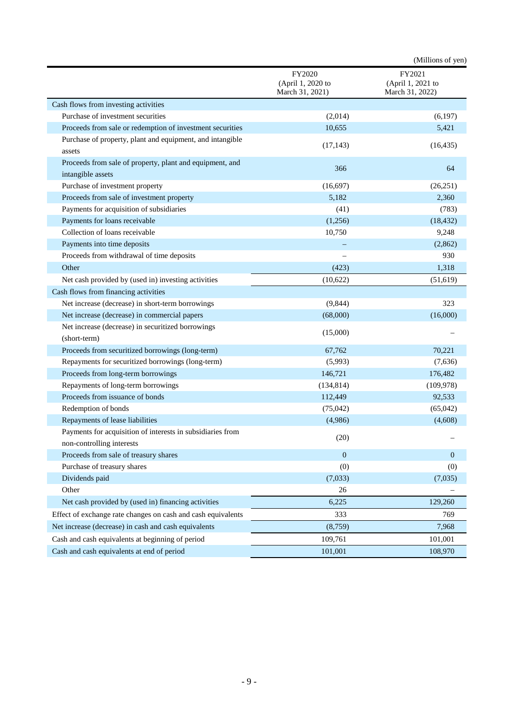|                                                                                         |                                                | (Millions of yen)                              |
|-----------------------------------------------------------------------------------------|------------------------------------------------|------------------------------------------------|
|                                                                                         | FY2020<br>(April 1, 2020 to<br>March 31, 2021) | FY2021<br>(April 1, 2021 to<br>March 31, 2022) |
| Cash flows from investing activities                                                    |                                                |                                                |
| Purchase of investment securities                                                       | (2,014)                                        | (6,197)                                        |
| Proceeds from sale or redemption of investment securities                               | 10,655                                         | 5,421                                          |
| Purchase of property, plant and equipment, and intangible<br>assets                     | (17, 143)                                      | (16, 435)                                      |
| Proceeds from sale of property, plant and equipment, and<br>intangible assets           | 366                                            | 64                                             |
| Purchase of investment property                                                         | (16,697)                                       | (26,251)                                       |
| Proceeds from sale of investment property                                               | 5,182                                          | 2,360                                          |
| Payments for acquisition of subsidiaries                                                | (41)                                           | (783)                                          |
| Payments for loans receivable                                                           | (1,256)                                        | (18, 432)                                      |
| Collection of loans receivable                                                          | 10,750                                         | 9,248                                          |
| Payments into time deposits                                                             |                                                | (2,862)                                        |
| Proceeds from withdrawal of time deposits                                               |                                                | 930                                            |
| Other                                                                                   | (423)                                          | 1,318                                          |
| Net cash provided by (used in) investing activities                                     | (10,622)                                       | (51, 619)                                      |
| Cash flows from financing activities                                                    |                                                |                                                |
| Net increase (decrease) in short-term borrowings                                        | (9, 844)                                       | 323                                            |
| Net increase (decrease) in commercial papers                                            | (68,000)                                       | (16,000)                                       |
| Net increase (decrease) in securitized borrowings<br>(short-term)                       | (15,000)                                       |                                                |
| Proceeds from securitized borrowings (long-term)                                        | 67,762                                         | 70,221                                         |
| Repayments for securitized borrowings (long-term)                                       | (5,993)                                        | (7,636)                                        |
| Proceeds from long-term borrowings                                                      | 146,721                                        | 176,482                                        |
| Repayments of long-term borrowings                                                      | (134, 814)                                     | (109, 978)                                     |
| Proceeds from issuance of bonds                                                         | 112,449                                        | 92,533                                         |
| Redemption of bonds                                                                     | (75,042)                                       | (65,042)                                       |
| Repayments of lease liabilities                                                         | (4,986)                                        | (4,608)                                        |
| Payments for acquisition of interests in subsidiaries from<br>non-controlling interests | (20)                                           |                                                |
| Proceeds from sale of treasury shares                                                   | $\boldsymbol{0}$                               | $\mathbf{0}$                                   |
| Purchase of treasury shares                                                             | (0)                                            | (0)                                            |
| Dividends paid                                                                          | (7,033)                                        | (7,035)                                        |
| Other                                                                                   | 26                                             |                                                |
| Net cash provided by (used in) financing activities                                     | 6,225                                          | 129,260                                        |
| Effect of exchange rate changes on cash and cash equivalents                            | 333                                            | 769                                            |
| Net increase (decrease) in cash and cash equivalents                                    | (8,759)                                        | 7,968                                          |
| Cash and cash equivalents at beginning of period                                        | 109,761                                        | 101,001                                        |
| Cash and cash equivalents at end of period                                              | 101,001                                        | 108,970                                        |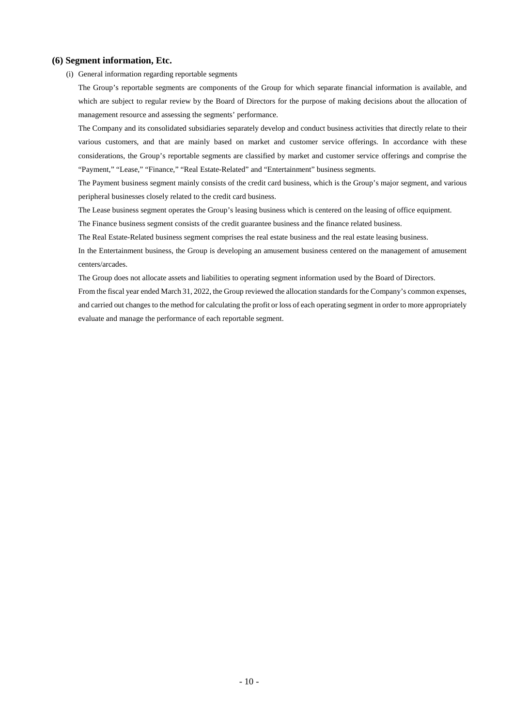#### **(6) Segment information, Etc.**

(i) General information regarding reportable segments

The Group's reportable segments are components of the Group for which separate financial information is available, and which are subject to regular review by the Board of Directors for the purpose of making decisions about the allocation of management resource and assessing the segments' performance.

The Company and its consolidated subsidiaries separately develop and conduct business activities that directly relate to their various customers, and that are mainly based on market and customer service offerings. In accordance with these considerations, the Group's reportable segments are classified by market and customer service offerings and comprise the "Payment," "Lease," "Finance," "Real Estate-Related" and "Entertainment" business segments.

The Payment business segment mainly consists of the credit card business, which is the Group's major segment, and various peripheral businesses closely related to the credit card business.

The Lease business segment operates the Group's leasing business which is centered on the leasing of office equipment.

The Finance business segment consists of the credit guarantee business and the finance related business.

The Real Estate-Related business segment comprises the real estate business and the real estate leasing business.

In the Entertainment business, the Group is developing an amusement business centered on the management of amusement centers/arcades.

The Group does not allocate assets and liabilities to operating segment information used by the Board of Directors.

From the fiscal year ended March 31, 2022, the Group reviewed the allocation standards for the Company's common expenses, and carried out changes to the method for calculating the profit or loss of each operating segment in order to more appropriately evaluate and manage the performance of each reportable segment.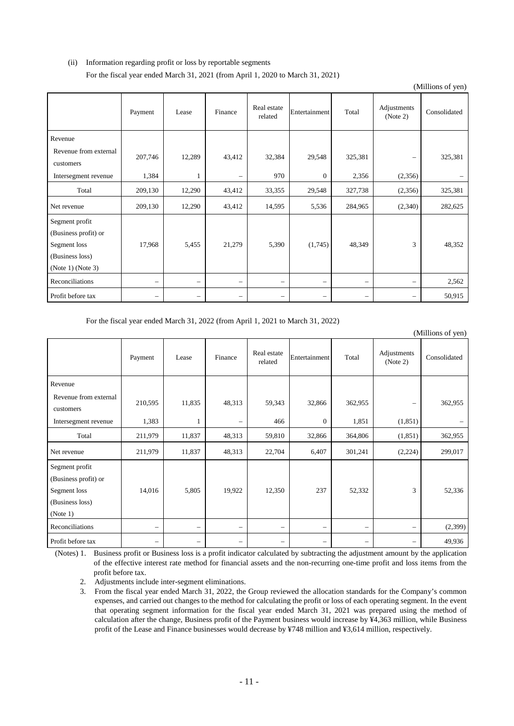### (ii) Information regarding profit or loss by reportable segments For the fiscal year ended March 31, 2021 (from April 1, 2020 to March 31, 2021)

|                                                                                                |                          |                   |                          |                        |                          |                          |                          | (Millions of yen) |
|------------------------------------------------------------------------------------------------|--------------------------|-------------------|--------------------------|------------------------|--------------------------|--------------------------|--------------------------|-------------------|
|                                                                                                | Payment                  | Lease             | Finance                  | Real estate<br>related | Entertainment            | Total                    | Adjustments<br>(Note 2)  | Consolidated      |
| Revenue                                                                                        |                          |                   |                          |                        |                          |                          |                          |                   |
| Revenue from external<br>customers                                                             | 207,746                  | 12,289            | 43,412                   | 32,384                 | 29,548                   | 325,381                  |                          | 325,381           |
| Intersegment revenue                                                                           | 1,384                    | 1                 | $\qquad \qquad -$        | 970                    | $\mathbf{0}$             | 2,356                    | (2,356)                  |                   |
| Total                                                                                          | 209,130                  | 12,290            | 43,412                   | 33,355                 | 29,548                   | 327,738                  | (2,356)                  | 325,381           |
| Net revenue                                                                                    | 209,130                  | 12,290            | 43,412                   | 14,595                 | 5,536                    | 284,965                  | (2,340)                  | 282,625           |
| Segment profit<br>(Business profit) or<br>Segment loss<br>(Business loss)<br>(Note 1) (Note 3) | 17,968                   | 5,455             | 21,279                   | 5,390                  | (1,745)                  | 48,349                   | 3                        | 48,352            |
| Reconciliations                                                                                | $\overline{\phantom{m}}$ | $\qquad \qquad -$ | $\qquad \qquad -$        | —                      | $\overline{\phantom{0}}$ | $\overline{\phantom{0}}$ | $\qquad \qquad -$        | 2,562             |
| Profit before tax                                                                              | $\overline{\phantom{0}}$ |                   | $\overline{\phantom{m}}$ | —                      |                          |                          | $\overline{\phantom{0}}$ | 50,915            |

For the fiscal year ended March 31, 2022 (from April 1, 2021 to March 31, 2022)

|                                                                                       |                          |                          |                          |                          |                   |                          |                          | (Millions of yen) |
|---------------------------------------------------------------------------------------|--------------------------|--------------------------|--------------------------|--------------------------|-------------------|--------------------------|--------------------------|-------------------|
|                                                                                       | Payment                  | Lease                    | Finance                  | Real estate<br>related   | Entertainment     | Total                    | Adjustments<br>(Note 2)  | Consolidated      |
| Revenue                                                                               |                          |                          |                          |                          |                   |                          |                          |                   |
| Revenue from external<br>customers                                                    | 210,595                  | 11,835                   | 48,313                   | 59,343                   | 32,866            | 362,955                  | $\qquad \qquad -$        | 362,955           |
| Intersegment revenue                                                                  | 1,383                    | 1                        | $\overline{\phantom{0}}$ | 466                      | $\boldsymbol{0}$  | 1,851                    | (1,851)                  |                   |
| Total                                                                                 | 211,979                  | 11,837                   | 48,313                   | 59,810                   | 32,866            | 364,806                  | (1, 851)                 | 362,955           |
| Net revenue                                                                           | 211,979                  | 11,837                   | 48,313                   | 22,704                   | 6,407             | 301,241                  | (2,224)                  | 299,017           |
| Segment profit<br>(Business profit) or<br>Segment loss<br>(Business loss)<br>(Note 1) | 14,016                   | 5,805                    | 19,922                   | 12,350                   | 237               | 52,332                   | 3                        | 52,336            |
| Reconciliations                                                                       | $\overline{\phantom{0}}$ | $\qquad \qquad -$        | $\overline{\phantom{m}}$ | $\overline{\phantom{0}}$ | $\qquad \qquad -$ | $\overline{\phantom{0}}$ | $\overline{\phantom{0}}$ | (2,399)           |
| Profit before tax                                                                     | -                        | $\overline{\phantom{0}}$ | $\qquad \qquad -$        | $\overline{\phantom{0}}$ | $\qquad \qquad -$ |                          | $\overline{\phantom{0}}$ | 49,936            |

(Notes) 1. Business profit or Business loss is a profit indicator calculated by subtracting the adjustment amount by the application of the effective interest rate method for financial assets and the non-recurring one-time profit and loss items from the profit before tax.

2. Adjustments include inter-segment eliminations.

3. From the fiscal year ended March 31, 2022, the Group reviewed the allocation standards for the Company's common expenses, and carried out changes to the method for calculating the profit or loss of each operating segment. In the event that operating segment information for the fiscal year ended March 31, 2021 was prepared using the method of calculation after the change, Business profit of the Payment business would increase by ¥4,363 million, while Business profit of the Lease and Finance businesses would decrease by ¥748 million and ¥3,614 million, respectively.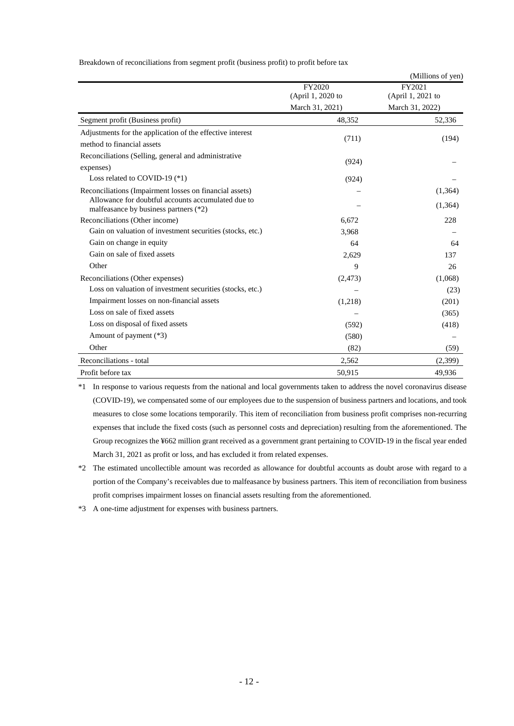Breakdown of reconciliations from segment profit (business profit) to profit before tax

|                                                                                             |                   | (Millions of yen) |
|---------------------------------------------------------------------------------------------|-------------------|-------------------|
|                                                                                             | FY2020            | FY2021            |
|                                                                                             | (April 1, 2020 to | (April 1, 2021 to |
|                                                                                             | March 31, 2021)   | March 31, 2022)   |
| Segment profit (Business profit)                                                            | 48,352            | 52,336            |
| Adjustments for the application of the effective interest                                   | (711)             | (194)             |
| method to financial assets                                                                  |                   |                   |
| Reconciliations (Selling, general and administrative                                        | (924)             |                   |
| expenses)                                                                                   |                   |                   |
| Loss related to COVID-19 $(*1)$                                                             | (924)             |                   |
| Reconciliations (Impairment losses on financial assets)                                     |                   | (1,364)           |
| Allowance for doubtful accounts accumulated due to<br>malfeasance by business partners (*2) |                   | (1,364)           |
| Reconciliations (Other income)                                                              | 6,672             | 228               |
| Gain on valuation of investment securities (stocks, etc.)                                   | 3,968             |                   |
| Gain on change in equity                                                                    | 64                | 64                |
| Gain on sale of fixed assets                                                                | 2,629             | 137               |
| Other                                                                                       | 9                 | 26                |
| Reconciliations (Other expenses)                                                            | (2, 473)          | (1,068)           |
| Loss on valuation of investment securities (stocks, etc.)                                   |                   | (23)              |
| Impairment losses on non-financial assets                                                   | (1,218)           | (201)             |
| Loss on sale of fixed assets                                                                |                   | (365)             |
| Loss on disposal of fixed assets                                                            | (592)             | (418)             |
| Amount of payment (*3)                                                                      | (580)             |                   |
| Other                                                                                       | (82)              | (59)              |
| Reconciliations - total                                                                     | 2,562             | (2,399)           |
| Profit before tax                                                                           | 50,915            | 49,936            |

\*1 In response to various requests from the national and local governments taken to address the novel coronavirus disease (COVID-19), we compensated some of our employees due to the suspension of business partners and locations, and took measures to close some locations temporarily. This item of reconciliation from business profit comprises non-recurring expenses that include the fixed costs (such as personnel costs and depreciation) resulting from the aforementioned. The Group recognizes the ¥662 million grant received as a government grant pertaining to COVID-19 in the fiscal year ended March 31, 2021 as profit or loss, and has excluded it from related expenses.

\*2 The estimated uncollectible amount was recorded as allowance for doubtful accounts as doubt arose with regard to a portion of the Company's receivables due to malfeasance by business partners. This item of reconciliation from business profit comprises impairment losses on financial assets resulting from the aforementioned.

\*3 A one-time adjustment for expenses with business partners.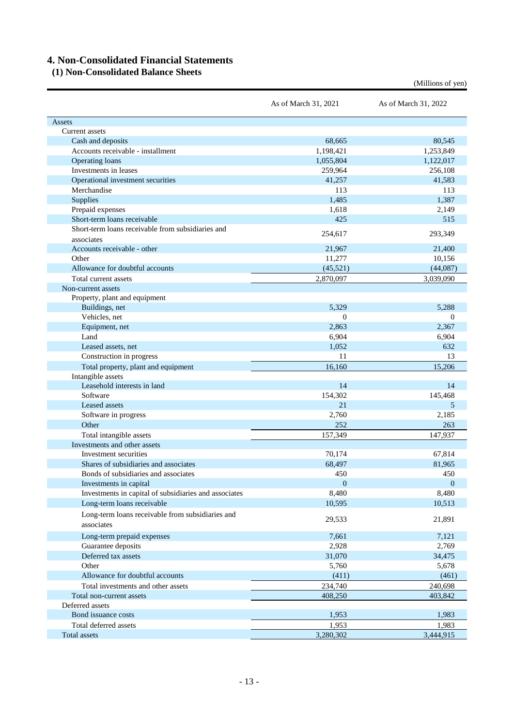# **4. Non-Consolidated Financial Statements**

### **(1) Non-Consolidated Balance Sheets**

|                                                       | As of March 31, 2021 | As of March 31, 2022 |
|-------------------------------------------------------|----------------------|----------------------|
| Assets                                                |                      |                      |
| Current assets                                        |                      |                      |
| Cash and deposits                                     | 68,665               | 80,545               |
| Accounts receivable - installment                     | 1,198,421            | 1,253,849            |
| Operating loans                                       | 1,055,804            | 1,122,017            |
| Investments in leases                                 | 259,964              | 256,108              |
| Operational investment securities                     | 41,257               | 41,583               |
| Merchandise                                           | 113                  | 113                  |
| <b>Supplies</b>                                       | 1,485                | 1,387                |
| Prepaid expenses                                      | 1,618                | 2,149                |
| Short-term loans receivable                           | 425                  | 515                  |
| Short-term loans receivable from subsidiaries and     |                      |                      |
| associates                                            | 254,617              | 293,349              |
| Accounts receivable - other                           | 21,967               | 21,400               |
| Other                                                 | 11,277               | 10,156               |
| Allowance for doubtful accounts                       | (45, 521)            | (44,087)             |
| Total current assets                                  | 2,870,097            | 3,039,090            |
|                                                       |                      |                      |
| Non-current assets<br>Property, plant and equipment   |                      |                      |
| Buildings, net                                        | 5,329                | 5.288                |
| Vehicles, net                                         | $\mathbf{0}$         | $\theta$             |
|                                                       |                      |                      |
| Equipment, net<br>Land                                | 2,863                | 2,367                |
|                                                       | 6,904                | 6,904                |
| Leased assets, net                                    | 1,052                | 632                  |
| Construction in progress                              | 11                   | 13                   |
| Total property, plant and equipment                   | 16,160               | 15,206               |
| Intangible assets                                     |                      |                      |
| Leasehold interests in land                           | 14                   | 14                   |
| Software                                              | 154,302              | 145,468              |
| Leased assets                                         | 21                   | 5                    |
| Software in progress                                  | 2,760                | 2,185                |
| Other                                                 | 252                  | 263                  |
| Total intangible assets                               | 157,349              | 147,937              |
| Investments and other assets                          |                      |                      |
| Investment securities                                 | 70,174               | 67,814               |
| Shares of subsidiaries and associates                 | 68,497               | 81,965               |
| Bonds of subsidiaries and associates                  | 450                  | 450                  |
| Investments in capital                                | $\mathbf{0}$         | $\overline{0}$       |
| Investments in capital of subsidiaries and associates | 8,480                | 8,480                |
| Long-term loans receivable                            | 10,595               | 10,513               |
| Long-term loans receivable from subsidiaries and      |                      |                      |
| associates                                            | 29,533               | 21,891               |
| Long-term prepaid expenses                            |                      |                      |
|                                                       | 7,661                | 7,121<br>2,769       |
| Guarantee deposits                                    | 2,928                |                      |
| Deferred tax assets                                   | 31,070               | 34,475               |
| Other                                                 | 5,760                | 5,678                |
| Allowance for doubtful accounts                       | (411)                | (461)                |
| Total investments and other assets                    | 234,740              | 240,698              |
| Total non-current assets                              | 408,250              | 403,842              |
| Deferred assets                                       |                      |                      |
| Bond issuance costs                                   | 1,953                | 1,983                |
| Total deferred assets                                 | 1,953                | 1,983                |
| Total assets                                          | 3,280,302            | 3,444,915            |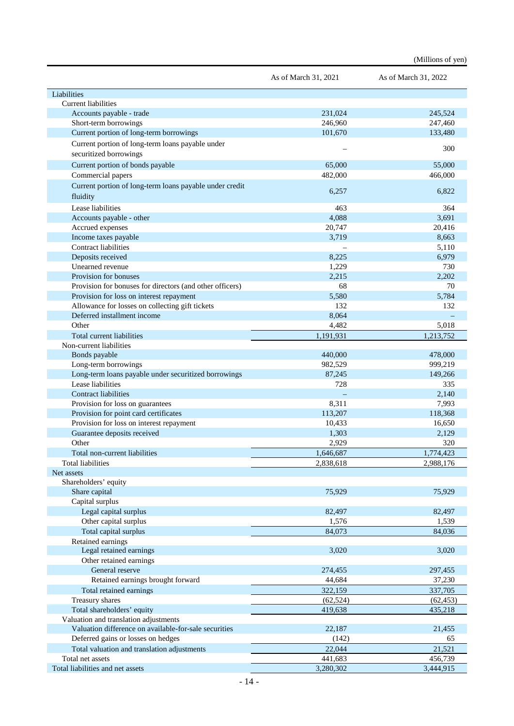|                                                                                | As of March 31, 2021 | As of March 31, 2022 |
|--------------------------------------------------------------------------------|----------------------|----------------------|
| Liabilities                                                                    |                      |                      |
| Current liabilities                                                            |                      |                      |
| Accounts payable - trade                                                       | 231,024              | 245,524              |
| Short-term borrowings                                                          | 246,960              | 247,460              |
| Current portion of long-term borrowings                                        | 101,670              | 133,480              |
| Current portion of long-term loans payable under<br>securitized borrowings     |                      | 300                  |
| Current portion of bonds payable                                               | 65,000               | 55,000               |
| Commercial papers                                                              | 482,000              | 466,000              |
| Current portion of long-term loans payable under credit                        |                      |                      |
| fluidity                                                                       | 6,257                | 6,822                |
| Lease liabilities                                                              | 463                  | 364                  |
| Accounts payable - other                                                       | 4,088                | 3,691                |
| Accrued expenses                                                               | 20,747               | 20,416               |
| Income taxes payable                                                           | 3,719                | 8,663                |
| Contract liabilities                                                           |                      | 5,110                |
| Deposits received                                                              | 8,225                | 6,979                |
| Unearned revenue                                                               | 1,229                | 730                  |
| Provision for bonuses                                                          | 2,215                | 2,202                |
| Provision for bonuses for directors (and other officers)                       | 68                   | 70                   |
| Provision for loss on interest repayment                                       | 5,580                | 5,784                |
| Allowance for losses on collecting gift tickets<br>Deferred installment income | 132                  | 132                  |
| Other                                                                          | 8,064<br>4,482       | 5,018                |
| Total current liabilities                                                      | 1,191,931            | 1,213,752            |
| Non-current liabilities                                                        |                      |                      |
| Bonds payable                                                                  | 440,000              | 478,000              |
| Long-term borrowings                                                           | 982,529              | 999,219              |
| Long-term loans payable under securitized borrowings                           | 87,245               | 149,266              |
| Lease liabilities                                                              | 728                  | 335                  |
| <b>Contract liabilities</b>                                                    |                      | 2,140                |
| Provision for loss on guarantees                                               | 8,311                | 7,993                |
| Provision for point card certificates                                          | 113,207              | 118,368              |
| Provision for loss on interest repayment                                       | 10,433               | 16,650               |
| Guarantee deposits received                                                    | 1,303                | 2,129                |
| Other                                                                          | 2,929                | 320                  |
| Total non-current liabilities                                                  | 1,646,687            | 1,774,423            |
| Total liabilities                                                              | 2,838,618            | 2,988,176            |
| Net assets                                                                     |                      |                      |
| Shareholders' equity                                                           |                      |                      |
| Share capital                                                                  | 75,929               | 75,929               |
| Capital surplus                                                                |                      |                      |
| Legal capital surplus                                                          | 82,497               | 82,497               |
| Other capital surplus                                                          | 1,576                | 1,539                |
| Total capital surplus                                                          | 84,073               | 84,036               |
| Retained earnings<br>Legal retained earnings                                   | 3,020                | 3,020                |
| Other retained earnings                                                        |                      |                      |
| General reserve                                                                | 274,455              | 297,455              |
| Retained earnings brought forward                                              | 44,684               | 37,230               |
| Total retained earnings                                                        | 322,159              | 337,705              |
| Treasury shares                                                                | (62, 524)            | (62, 453)            |
| Total shareholders' equity                                                     | 419,638              | 435,218              |
| Valuation and translation adjustments                                          |                      |                      |
| Valuation difference on available-for-sale securities                          | 22,187               | 21,455               |
| Deferred gains or losses on hedges                                             | (142)                | 65                   |
| Total valuation and translation adjustments                                    | 22,044               | 21,521               |
| Total net assets                                                               | 441,683              | 456,739              |
| Total liabilities and net assets                                               | 3,280,302            | 3,444,915            |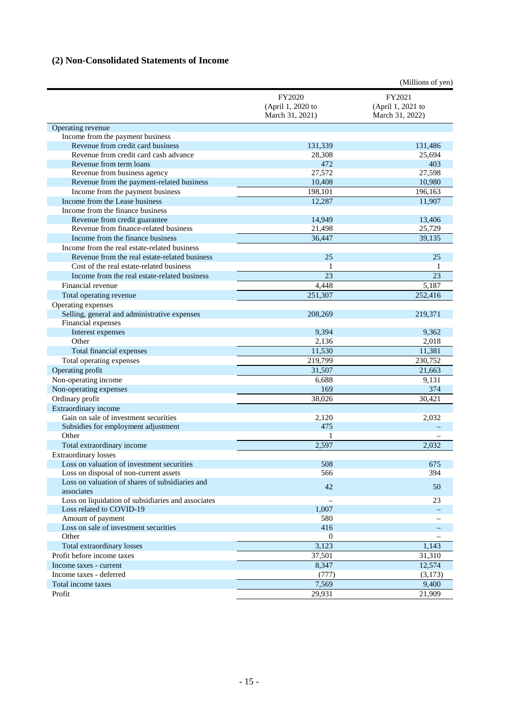# **(2) Non-Consolidated Statements of Income**

|                                                    |                                                | (Millions of yen)                              |
|----------------------------------------------------|------------------------------------------------|------------------------------------------------|
|                                                    | FY2020<br>(April 1, 2020 to<br>March 31, 2021) | FY2021<br>(April 1, 2021 to<br>March 31, 2022) |
| Operating revenue                                  |                                                |                                                |
| Income from the payment business                   |                                                |                                                |
| Revenue from credit card business                  | 131,339                                        | 131,486                                        |
| Revenue from credit card cash advance              | 28,308                                         | 25,694                                         |
| Revenue from term loans                            | 472                                            | 403                                            |
| Revenue from business agency                       | 27,572                                         | 27,598                                         |
| Revenue from the payment-related business          | 10,408                                         | 10,980                                         |
| Income from the payment business                   | 198,101                                        | 196,163                                        |
| Income from the Lease business                     | 12,287                                         | 11,907                                         |
| Income from the finance business                   |                                                |                                                |
| Revenue from credit guarantee                      | 14,949                                         | 13,406                                         |
| Revenue from finance-related business              | 21,498                                         | 25,729                                         |
| Income from the finance business                   | 36,447                                         | 39,135                                         |
| Income from the real estate-related business       |                                                |                                                |
| Revenue from the real estate-related business      | 25                                             | 25                                             |
| Cost of the real estate-related business           | 1                                              | 1                                              |
| Income from the real estate-related business       | $\overline{23}$                                | $\overline{23}$                                |
| Financial revenue                                  | 4,448                                          | 5,187                                          |
| Total operating revenue                            | 251,307                                        | 252,416                                        |
| Operating expenses                                 |                                                |                                                |
| Selling, general and administrative expenses       | 208,269                                        | 219,371                                        |
| Financial expenses                                 |                                                |                                                |
| Interest expenses                                  | 9,394                                          | 9,362                                          |
| Other                                              | 2,136                                          | 2,018                                          |
| Total financial expenses                           | 11,530                                         | 11,381                                         |
| Total operating expenses                           | 219,799                                        | 230,752                                        |
| Operating profit                                   | 31,507                                         | 21,663                                         |
| Non-operating income                               | 6,688                                          | 9,131                                          |
| Non-operating expenses                             | 169                                            | 374                                            |
| Ordinary profit                                    | 38,026                                         | 30,421                                         |
| Extraordinary income                               |                                                |                                                |
| Gain on sale of investment securities              | 2,120                                          | 2,032                                          |
| Subsidies for employment adjustment                | 475                                            |                                                |
| Other                                              | 1                                              |                                                |
| Total extraordinary income                         | 2,597                                          | 2,032                                          |
| <b>Extraordinary losses</b>                        |                                                |                                                |
| Loss on valuation of investment securities         | 508                                            | 675                                            |
| Loss on disposal of non-current assets             | 566                                            | 394                                            |
| Loss on valuation of shares of subsidiaries and    | 42                                             | 50                                             |
| associates                                         |                                                |                                                |
| Loss on liquidation of subsidiaries and associates |                                                | 23                                             |
| Loss related to COVID-19                           | 1,007                                          |                                                |
| Amount of payment                                  | 580                                            |                                                |
| Loss on sale of investment securities              | 416                                            |                                                |
| Other                                              | 0                                              |                                                |
| Total extraordinary losses                         | 3,123                                          | 1,143                                          |
| Profit before income taxes                         | 37,501                                         | 31,310                                         |
| Income taxes - current                             | 8,347                                          | 12,574                                         |
| Income taxes - deferred                            | (777)                                          | (3,173)                                        |
| Total income taxes                                 | 7,569                                          | 9,400                                          |
| Profit                                             | 29,931                                         | 21,909                                         |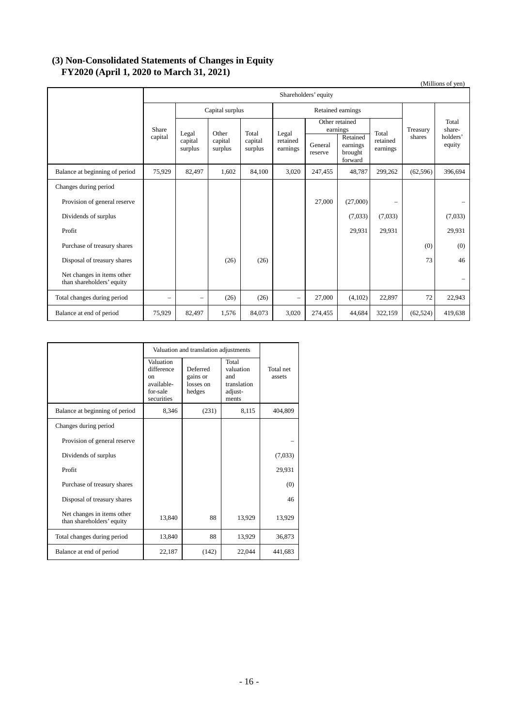## **(3) Non-Consolidated Statements of Changes in Equity FY2020 (April 1, 2020 to March 31, 2021)**

| $1 - 0 = 0$ (12 pm $2, 0 = 0$ to them on $0.2$ , $0 = 0.2$ )<br>(Millions of yen) |                          |                                        |                                                            |                   |                               |                            |                                            |                      |           |                          |
|-----------------------------------------------------------------------------------|--------------------------|----------------------------------------|------------------------------------------------------------|-------------------|-------------------------------|----------------------------|--------------------------------------------|----------------------|-----------|--------------------------|
|                                                                                   | Shareholders' equity     |                                        |                                                            |                   |                               |                            |                                            |                      |           |                          |
|                                                                                   | Capital surplus          |                                        |                                                            | Retained earnings |                               |                            |                                            |                      |           |                          |
|                                                                                   | Share                    | Legal<br>capital<br>capital<br>surplus | Total<br>Other<br>capital<br>capital<br>surplus<br>surplus |                   | Legal<br>retained<br>earnings | Other retained<br>earnings |                                            | Total                | Treasury  | Total<br>share-          |
|                                                                                   |                          |                                        |                                                            |                   |                               | General<br>reserve         | Retained<br>earnings<br>brought<br>forward | retained<br>earnings | shares    | holders'<br>equity       |
| Balance at beginning of period                                                    | 75,929                   | 82,497                                 | 1.602                                                      | 84,100            | 3,020                         | 247,455                    | 48,787                                     | 299,262              | (62, 596) | 396,694                  |
| Changes during period                                                             |                          |                                        |                                                            |                   |                               |                            |                                            |                      |           |                          |
| Provision of general reserve                                                      |                          |                                        |                                                            |                   |                               | 27,000                     | (27,000)                                   |                      |           |                          |
| Dividends of surplus                                                              |                          |                                        |                                                            |                   |                               |                            | (7,033)                                    | (7,033)              |           | (7,033)                  |
| Profit                                                                            |                          |                                        |                                                            |                   |                               |                            | 29,931                                     | 29,931               |           | 29,931                   |
| Purchase of treasury shares                                                       |                          |                                        |                                                            |                   |                               |                            |                                            |                      | (0)       | (0)                      |
| Disposal of treasury shares                                                       |                          |                                        | (26)                                                       | (26)              |                               |                            |                                            |                      | 73        | 46                       |
| Net changes in items other<br>than shareholders' equity                           |                          |                                        |                                                            |                   |                               |                            |                                            |                      |           | $\overline{\phantom{0}}$ |
| Total changes during period                                                       | $\overline{\phantom{0}}$ | -                                      | (26)                                                       | (26)              | $\qquad \qquad -$             | 27,000                     | (4,102)                                    | 22,897               | 72        | 22,943                   |
| Balance at end of period                                                          | 75,929                   | 82,497                                 | 1,576                                                      | 84,073            | 3,020                         | 274,455                    | 44,684                                     | 322,159              | (62, 524) | 419,638                  |

|                                                         | Valuation and translation adjustments                                          |                                             |                                                              |                     |
|---------------------------------------------------------|--------------------------------------------------------------------------------|---------------------------------------------|--------------------------------------------------------------|---------------------|
|                                                         | Valuation<br>difference<br>$_{\rm on}$<br>available-<br>for-sale<br>securities | Deferred<br>gains or<br>losses on<br>hedges | Total<br>valuation<br>and<br>translation<br>adjust-<br>ments | Total net<br>assets |
| Balance at beginning of period                          | 8,346                                                                          | (231)                                       | 8,115                                                        | 404,809             |
| Changes during period                                   |                                                                                |                                             |                                                              |                     |
| Provision of general reserve                            |                                                                                |                                             |                                                              |                     |
| Dividends of surplus                                    |                                                                                |                                             |                                                              | (7,033)             |
| Profit                                                  |                                                                                |                                             |                                                              | 29,931              |
| Purchase of treasury shares                             |                                                                                |                                             |                                                              | (0)                 |
| Disposal of treasury shares                             |                                                                                |                                             |                                                              | 46                  |
| Net changes in items other<br>than shareholders' equity | 13,840                                                                         | 88                                          | 13,929                                                       | 13,929              |
| Total changes during period                             | 13,840                                                                         | 88                                          | 13,929                                                       | 36,873              |
| Balance at end of period                                | 22,187                                                                         | (142)                                       | 22,044                                                       | 441,683             |